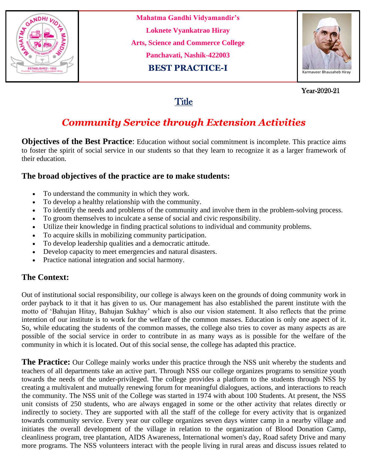

**Mahatma Gandhi Vidyamandir's Loknete Vyankatrao Hiray Arts, Science and Commerce College Panchavati, Nashik-422003 BEST PRACTICE-I**



 Year-2020-21 Year-2020-21

## **Title**

# *Community Service through Extension Activities*

**Objectives of the Best Practice**: Education without social commitment is incomplete. This practice aims to foster the spirit of social service in our students so that they learn to recognize it as a larger framework of their education.

### **The broad objectives of the practice are to make students:**

- To understand the community in which they work.
- To develop a healthy relationship with the community.
- To identify the needs and problems of the community and involve them in the problem-solving process.
- To groom themselves to inculcate a sense of social and civic responsibility.
- Utilize their knowledge in finding practical solutions to individual and community problems.
- To acquire skills in mobilizing community participation.
- To develop leadership qualities and a democratic attitude.
- Develop capacity to meet emergencies and natural disasters.
- Practice national integration and social harmony.

### **The Context:**

Out of institutional social responsibility, our college is always keen on the grounds of doing community work in order payback to it that it has given to us. Our management has also established the parent institute with the motto of 'Bahujan Hitay, Bahujan Sukhay' which is also our vision statement. It also reflects that the prime intention of our institute is to work for the welfare of the common masses. Education is only one aspect of it. So, while educating the students of the common masses, the college also tries to cover as many aspects as are possible of the social service in order to contribute in as many ways as is possible for the welfare of the community in which it is located. Out of this social sense, the college has adapted this practice.

**The Practice:** Our College mainly works under this practice through the NSS unit whereby the students and teachers of all departments take an active part. Through NSS our college organizes programs to sensitize youth towards the needs of the under-privileged. The college provides a platform to the students through NSS by creating a multivalent and mutually renewing forum for meaningful dialogues, actions, and interactions to reach the community. The NSS unit of the College was started in 1974 with about 100 Students. At present, the NSS unit consists of 250 students, who are always engaged in some or the other activity that relates directly or indirectly to society. They are supported with all the staff of the college for every activity that is organized towards community service. Every year our college organizes seven days winter camp in a nearby village and initiates the overall development of the village in relation to the organization of Blood Donation Camp, cleanliness program, tree plantation, AIDS Awareness, International women's day, Road safety Drive and many more programs. The NSS volunteers interact with the people living in rural areas and discuss issues related to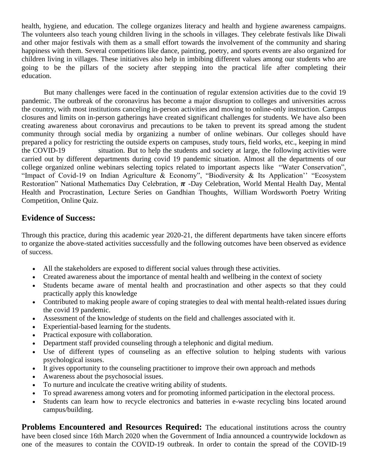health, hygiene, and education. The college organizes literacy and health and hygiene awareness campaigns. The volunteers also teach young children living in the schools in villages. They celebrate festivals like Diwali and other major festivals with them as a small effort towards the involvement of the community and sharing happiness with them. Several competitions like dance, painting, poetry, and sports events are also organized for children living in villages. These initiatives also help in imbibing different values among our students who are going to be the pillars of the society after stepping into the practical life after completing their education.

 But many challenges were faced in the continuation of regular extension activities due to the covid 19 pandemic. The outbreak of the coronavirus has become a major disruption to colleges and universities across the country, with most institutions canceling in-person activities and moving to online-only instruction. Campus closures and limits on in-person gatherings have created significant challenges for students. We have also been creating awareness about coronavirus and precautions to be taken to prevent its spread among the student community through social media by organizing a number of online webinars. Our colleges should have prepared a policy for restricting the outside experts on campuses, study tours, field works, etc., keeping in mind the COVID-19 situation. But to help the students and society at large, the following activities were carried out by different departments during covid 19 pandemic situation. Almost all the departments of our college organized online webinars selecting topics related to important aspects like "Water Conservation", "Impact of Covid-19 on Indian Agriculture & Economy", "Biodiversity & Its Application'' "Ecosystem Restoration" National Mathematics Day Celebration,  $\pi$  -Day Celebration, World Mental Health Day, Mental Health and Procrastination, Lecture Series on Gandhian Thoughts, William Wordsworth Poetry Writing Competition, Online Quiz.

#### **Evidence of Success:**

Through this practice, during this academic year 2020-21, the different departments have taken sincere efforts to organize the above-stated activities successfully and the following outcomes have been observed as evidence of success.

- All the stakeholders are exposed to different social values through these activities.
- Created awareness about the importance of mental health and wellbeing in the context of society
- Students became aware of mental health and procrastination and other aspects so that they could practically apply this knowledge
- Contributed to making people aware of coping strategies to deal with mental health-related issues during the covid 19 pandemic.
- Assessment of the knowledge of students on the field and challenges associated with it.
- Experiential-based learning for the students.
- Practical exposure with collaboration.
- Department staff provided counseling through a telephonic and digital medium.
- Use of different types of counseling as an effective solution to helping students with various psychological issues.
- It gives opportunity to the counseling practitioner to improve their own approach and methods
- Awareness about the psychosocial issues.
- To nurture and inculcate the creative writing ability of students.
- To spread awareness among voters and for promoting informed participation in the electoral process.
- Students can learn how to recycle electronics and batteries in e-waste recycling bins located around campus/building.

**Problems Encountered and Resources Required:** The educational institutions across the country have been closed since 16th March 2020 when the Government of India announced a countrywide lockdown as one of the measures to contain the COVID-19 outbreak. In order to contain the spread of the COVID-19